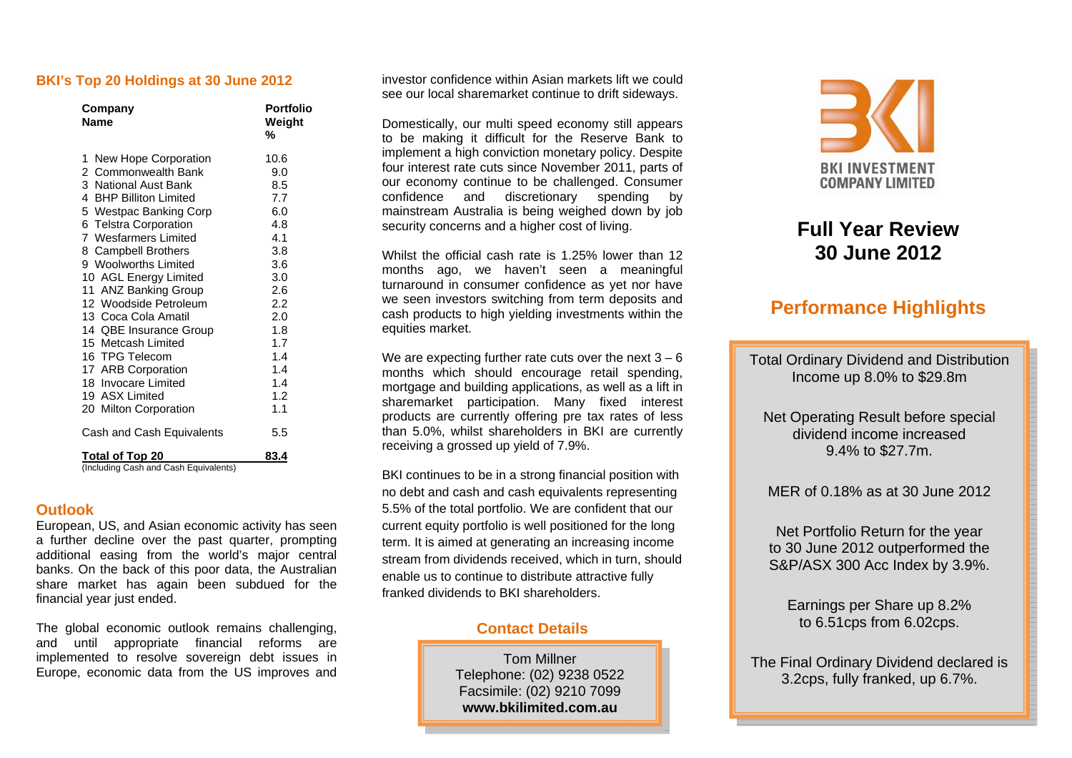#### **BKI's Top 20 Holdings at 30 June 2012**

| Company<br><b>Name</b>                                          | <b>Portfolio</b><br>Weight<br>% |
|-----------------------------------------------------------------|---------------------------------|
| New Hope Corporation<br>1.                                      | 10.6                            |
| 2 Commonwealth Bank                                             | 9.0                             |
| 3 National Aust Bank                                            | 8.5                             |
| 4 BHP Billiton Limited                                          | 7.7                             |
| 5 Westpac Banking Corp                                          | 6.0                             |
| 6 Telstra Corporation                                           | 4.8                             |
| 7 Wesfarmers Limited                                            | 4.1                             |
| 8 Campbell Brothers                                             | 3.8                             |
| 9 Woolworths Limited                                            | 3.6                             |
| 10 AGL Energy Limited                                           | 3.0                             |
| 11 ANZ Banking Group                                            | 2.6                             |
| 12 Woodside Petroleum                                           | 2.2                             |
| 13 Coca Cola Amatil                                             | 2.0                             |
| 14 QBE Insurance Group                                          | 1.8                             |
| 15 Metcash Limited                                              | 1.7                             |
| 16 TPG Telecom                                                  | 1.4                             |
| 17 ARB Corporation                                              | 1.4                             |
| 18 Invocare Limited                                             | 1.4                             |
| 19 ASX Limited                                                  | 1.2                             |
| 20 Milton Corporation                                           | 1.1                             |
| Cash and Cash Equivalents                                       | 5.5                             |
| <b>Total of Top 20</b><br>(Including Cash and Cash Equivalents) | 83.4                            |

#### **Outlook**

European, US, and Asian economic activity has seen a further decline over the past quarter, prompting additional easing from the world's major central banks. On the back of this poor data, the Australian share market has again been subdued for the financial year just ended.

The global economic outlook remains challenging, and until appropriate financial reforms are implemented to resolve sovereign debt issues in Europe, economic data from the US improves and investor confidence within Asian markets lift we could see our local sharemarket continue to drift sideways.

Domestically, our multi speed economy still appears to be making it difficult for the Reserve Bank to implement a high conviction monetary policy. Despite four interest rate cuts since November 2011, parts of our economy continue to be challenged. Consumer confidence and discretionary spending by mainstream Australia is being weighed down by job security concerns and a higher cost of living.

Whilst the official cash rate is 1.25% lower than 12 months ago, we haven't seen a meaningful turnaround in consumer confidence as yet nor have we seen investors switching from term deposits and cash products to high yielding investments within the equities market.

We are expecting further rate cuts over the next  $3 - 6$ months which should encourage retail spending, mortgage and building applications, as well as a lift in sharemarket participation. Many fixed interest products are currently offering pre tax rates of less than 5.0%, whilst shareholders in BKI are currently receiving a grossed up yield of 7.9%.

BKI continues to be in a strong financial position with no debt and cash and cash equivalents representing 5.5% of the total portfolio. We are confident that our current equity portfolio is well positioned for the long term. It is aimed at generating an increasing income stream from dividends received, which in turn, should enable us to continue to distribute attractive fully franked dividends to BKI shareholders.

# **Contact Details**

Tom Millner Telephone: (02) 9238 0522 Facsimile: (02) 9210 7099 **www.bkilimited.com.au** 



# **Full Year Review 30 June 2012**

# **Performance Highlights**

Total Ordinary Dividend and Distribution Income up 8.0% to \$29.8m

Net Operating Result before special dividend income increased 9.4% to \$27.7m.

MER of 0.18% as at 30 June 2012

Net Portfolio Return for the year to 30 June 2012 outperformed the S&P/ASX 300 Acc Index by 3.9%.

Earnings per Share up 8.2% to 6.51cps from 6.02cps.

The Final Ordinary Dividend declared is 3.2cps, fully franked, up 6.7%.